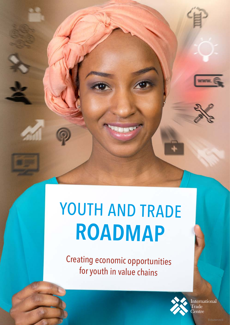# YOUTH AND TRADE **ROADMAP**

Creating economic opportunities for youth in value chains



International ---------<br>Trade<br>Centre

**WAYAK**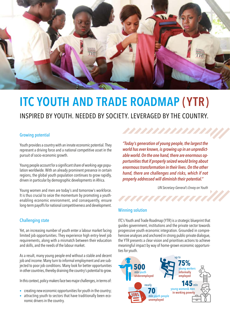

# **ITC YOUTH AND TRADE ROADMAP (YTR)**  INSPIRED BY YOUTH. NEEDED BY SOCIETY. LEVERAGED BY THE COUNTRY.

#### Growing potential

Youth provides a country with an innate economic potential. They represent a driving force and a national competitive asset in the pursuit of socio-economic growth.

Young people account for a significant share of working-age population worldwide. With an already prominent presence in certain regions, the global youth population continues to grow rapidly, driven in particular by demographic developments in Africa.

Young women and men are today's and tomorrow's workforce. It is thus crucial to seize the momentum by promoting a youthenabling economic environment, and consequently, ensure long-term payoffs for national competitiveness and development.

#### Challenging state

Yet, an increasing number of youth enter a labour market facing limited job opportunities. They experience high entry-level job requirements, along with a mismatch between their education and skills, and the needs of the labour market.

As a result, many young people end without a stable and decent job and income. Many turn to informal employment and are subjected to poor job conditions. Many look for better opportunities in other countries, thereby draining the country's potential to grow.

In this context, policy-makers face two major challenges, in terms of:

- creating new economic opportunities for youth in the country;
- attracting youth to sectors that have traditionally been economic drivers in the country.

*"Today's generation of young people, the largest the world has ever known, is growing up in an unpredictable world. On the one hand, there are enormous opportunities that if properly seized would bring about enormous transformation in their lives. On the other hand, there are challenges and risks, which if not properly addressed will diminish their potential."*

,,,,,,,,,,,,,

,,,,,,,,,,,,,,,,

*UN Secretary-General's Envoy on Youth*

#### Winning solution

ITC's Youth and Trade Roadmap (YTR) is a strategic blueprint that guides government, institutions and the private sector towards progressive youth economic integration. Grounded in comprehensive analyses and anchored in strong public-private dialogue, the YTR presents a clear vision and prioritises actions to achieve meaningful impact by way of home-grown economic opportunities for youth.

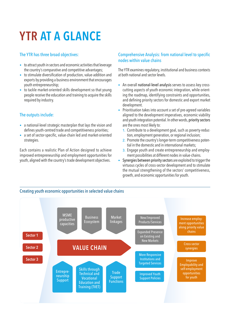# **YTR AT A GLANCE**

#### The YTR has three broad objectives:

- to attract youth in sectors and economic activities that leverage the country's comparative and competitive advantages;
- to stimulate diversification of production, value-addition and exports by providing a business environment that encourages youth entrepreneurship;
- to tackle market-oriented skills development so that young people receive the education and training to acquire the skills required by industry.

### The outputs include:

- a national-level strategic masterplan that lays the vision and defines youth-centred trade and competitiveness priorities;
- a set of sector-specific, value-chain led and market-oriented strategies.

Each contains a realistic Plan of Action designed to achieve improved entrepreneurship and employment opportunities for youth, aligned with the country's trade development objectives.

#### Comprehensive Analysis: from national level to specific nodes within value chains

The YTR examines regulatory, institutional and business contexts at both national and sector levels.

- An overall national-level analysis serves to assess key crosscutting aspects of youth economic integration, while orienting the roadmap, identifying constraints and opportunities, and defining priority sectors for domestic and export market development.
- Prioritisation takes into account a set of pre-agreed variables aligned to the development imperatives, economic viability and youth integration potential. In other words, priority sectors are the ones most likely to:
	- 1. Contribute to a development goal, such as poverty-reduction, employment generation, or regional inclusion;
	- 2. Promote the country's longer-term competitiveness potential in the domestic and in international markets;
	- 3. Engage youth and create entrepreneurship and employment possibilities at different nodes in value-chains.
- Synergies between priority sectors are exploited to trigger the virtuous cycles of cross-sector development and to stimulate the mutual strengthening of the sectors' competitiveness, growth, and economic opportunities for youth.

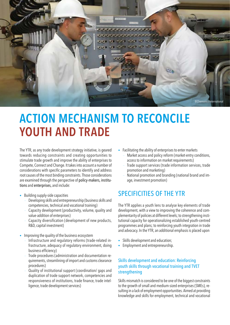

# **ACTION MECHANISM TO RECONCILE YOUTH AND TRADE**

The YTR, as any trade development strategy initiative, is geared towards reducing constraints and creating opportunities to stimulate trade growth and improve the ability of enterprises to Compete, Connect and Change. It takes into account a number of considerations with specific parameters to identify and address root causes of the most binding constraints. Those considerations are examined through the perspective of policy-makers, institutions and enterprises, and include:

- Building supply-side capacities
	- − Developing skills and entrepreneurship (business skills and competencies, technical and vocational training)
	- Capacity development (productivity, volume, quality and value-addition of enterprises)
	- Capacity diversification (development of new products, R&D, capital investment)
- Improving the quality of the business ecosystem
	- − Infrastructure and regulatory reforms (trade-related infrastructure, adequacy of regulatory environment, doing business efficiency)
	- − Trade procedures (administration and documentation requirements, streamlining of import and customs clearance procedures)
	- Quality of institutional support (coordination/ gaps and duplication of trade support network, competencies and responsiveness of institutions, trade finance, trade intelligence, trade development services)
- Facilitating the ability of enterprises to enter markets − Market access and policy reform (market-entry conditions, access to information on market requirements)
	- Trade support services (trade information services, trade promotion and marketing)
	- − National promotion and branding (national brand and image, investment promotion)

# SPECIFICITIES OF THE YTR

The YTR applies a youth lens to analyse key elements of trade development, with a view to improving the coherence and complementarity of policies at different levels; to strengthening institutional capacity for operationalizing established youth-centred programmes and plans; to reinforcing youth integration in trade and advocacy. In the YTR, an additional emphasis is placed upon

- Skills development and education;
- Employment and entrepreneurship.

#### Skills development and education: Reinforcing youth skills through vocational training and TVET strengthening

Skills mismatch is considered to be one of the biggest constraints to the growth of small and medium-sized enterprises (SMEs), resulting in a lack of employment opportunities. Aimed at providing knowledge and skills for employment, technical and vocational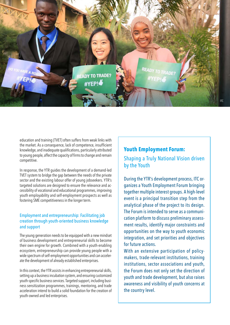

education and training (TVET) often suffers from weak links with the market. As a consequence, lack of competence, insufficient knowledge, and inadequate qualifications, particularly attributed to young people, affect the capacity of firms to change and remain competitive.

In response, the YTR guides the development of a demand-led TVET system to bridge the gap between the needs of the private sector and the existing labour offer of young jobseekers. YTR's targeted solutions are designed to ensure the relevance and accessibility of vocational and educational programmes, improving youth employability and self-employment prospects as well as fostering SME competitiveness in the longer term.

#### Employment and entrepreneurship: Facilitating job creation through youth-oriented business knowledge and support

The young generation needs to be equipped with a new mindset of business development and entrepreneurial skills to become their own engine for growth. Combined with a youth-enabling ecosystem, entrepreneurship can provide young people with a wide spectrum of self-employment opportunities and can accelerate the development of already established enterprises.

In this context, the YTR assists in enhancing entrepreneurial skills, setting up a business incubation system, and ensuring customized youth-specific business services. Targeted support, including business sensitization programmes, trainings, mentoring, and trade acceleration intend to build a solid foundation for the creation of youth-owned and led enterprises.

## **Youth Employment Forum:**

Shaping a Truly National Vision driven by the Youth

During the YTR's development process, ITC organizes a Youth Employment Forum bringing together multiple interest groups. A high-level event is a principal transition step from the analytical phase of the project to its design. The Forum is intended to serve as a communication platform to discuss preliminary assessment results, identify major constraints and opportunities on the way to youth economic integration, and set priorities and objectives for future actions.

With an extensive participation of policymakers, trade-relevant institutions, training institutions, sector associations and youth, the Forum does not only set the direction of youth and trade development, but also raises awareness and visibility of youth concerns at the country level.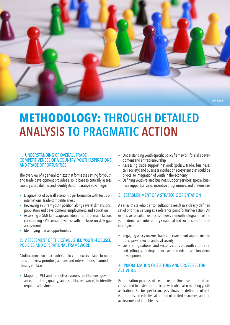

# **METHODOLOGY: THROUGH DETAILED ANALYSIS TO PRAGMATIC ACTION**

#### 1. UNDERSTANDING OF OVERALL TRADE COMPETITIVENESS OF A COUNTRY, YOUTH ASPIRATIONS AND TRADE OPPORTUNITIES

The overview of a general context that forms the setting for youth and trade development provides a solid base to critically assess country's capabilities and identify its comparative advantage.

- Diagnostics of overall economic performance with focus on international trade competitiveness
- Reviewing a current youth position along several dimensions: population and development, employment, and education
- Assessing of SME landscape and identification of major factors constraining SME competitiveness with the focus on skills gap assessment
- Identifying market opportunities

#### 2. ASSESSMENT OF THE ESTABLISHED YOUTH-FOCUSED POLICIES AND OPERATIONAL FRAMEWORK

A full examination of a country's policy framework related to youth aims to review priorities, actions and interventions planned or already in place.

• Mapping TVET and their effectiveness (institutions, governance, structure, quality, accessibility, relevance) to identify required adjustments

- Understanding youth-specific policy framework for skills development and entrepreneurship
- Assessing trade support network (policy, trade, business, civil society) and business incubation ecosystem that could be pivotal to integration of youth in the economy
- Defining youth-related business support services: special business support services, incentive programmes, and preferences

#### 3. ESTABLISHMENT OF A STRATEGIC ORIENTATION

A series of stakeholder consultations result in a clearly defined set of priorities serving as a reference point for further action. An extensive consultative process allows a smooth integration of the youth dimension into country's national and sector-specific trade strategies.

- Engaging policy-makers, trade and investment support institutions, private sector and civil society
- Generating national and sector visions on youth and trade, and setting up strategic objectives for medium- and long term development

#### 4. PRIORITIZATION OF SECTORS AND CROSS-SECTOR **ACTIVITIES**

Prioritization process places focus on those sectors that are considered to foster economic growth while also meeting youth aspirations. Sector specific analysis allows the definition of realistic targets, an effective allocation of limited resources, and the achievement of tangible results.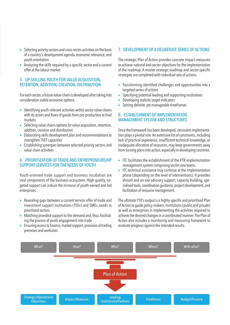- Selecting priority sectors and cross-sector activities on the basis of a country's development agenda, economic relevance, and youth orientation
- Analysing the skills required by a specific sector and a current offer at the labour market

#### 5. UP-SKILLING YOUTH FOR VALUE ACQUISITION, RETENTION, ADDITION, CREATION, DISTRIBUTION

For each sector, a future value-chain is developed after taking into consideration viable economic options.

- Identifying youth-relevant activities within sector value chains with its actors and flows of goods from pre-production to final markets
- Selecting value chains options for value acquisition, retention, addition, creation and distribution
- Elaborating skills development plan and recommendations to strengthen TVET capacities
- Establishing synergies between selected priority sectors and value chain activities

#### 6. PRIORITIZATION OF TRADE AND ENTREPRENEURSHIP SUPPORT SERVICES FOR THE NEEDS OF YOUTH

Youth-oriented trade support and business incubation are vital components of the business ecosystem. High-quality, targeted support can induce the increase of youth-owned and led enterprises.

- Revealing gaps between a current service offer of trade and investment support institutions (TISIs) and SMEs needs in prioritized sectors
- Matching provided support to the demand and, thus, facilitating the process of youth engagement into trade
- Ensuring access to finance, market support, provision of trading premises and worksites

#### 7. DEVELOPMENT OF A DELIBERATE SERIES OF ACTIONS

The strategic Plan of Action provides concrete impact measures to achieve national and sector objectives for the implementation of the roadmap. A master strategic roadmap and sector-specific strategies are completed with individual sets of actions.

- Transforming identified challenges and opportunities into a targeted series of actions
- Specifying potential leading and supporting institutions
- Developing realistic target indicators
- Setting definite, yet manageable timeframes

#### 8. ESTABLISHMENT OF IMPLEMENTATION MANAGEMENT SYSTEM AND STRUCTURES

Once the framework has been developed, consistent implementation plays a pivotal role. An extensive list of constraints, including lack of practical experience, insufficient technical knowledge, or inadequate allocation of resources, may keep governments away from turning plans into action, especially in developing countries.

- ITC facilitates the establishment of the YTR implementation management system comprising sector core teams.
- ITC technical assistance may continue at the implementation phase (depending on the level of interventions). It provides distant and on-site advisory support, capacity building, specialised tools, coordination guidance, project development, and facilitation of resource management.

The ultimate YTR's output is a highly-specific and prioritised Plan of Action to guide policy-makers, institutions (public and private) as well as enterprises in implementing the activities required to achieve the desired changes in a coordinated manner. The Plan of Action also includes a monitoring and measuring framework to evaluate progress against the intended results.

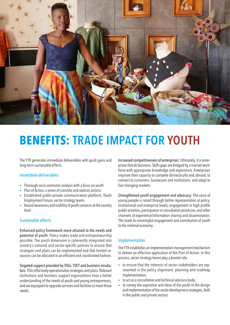

# **BENEFITS: TRADE IMPACT FOR YOUTH**

The YTR generates immediate deliverables with quick gains and long-term sustainable effects.

#### Immediate deliverables

- Thorough socio-economic analysis with a focus on youth
- Plan of Action, a series of concrete and realistic actions
- Established public-private communication platform, Youth Employment Forum, sector strategy teams
- Raised awareness and visibility of youth concerns at the country level

#### Sustainable effects

Enhanced policy framework more attuned to the needs and potential of youth: Policy makes trade and entrepreneurship possible. The youth dimension is coherently integrated into country's national and sector-specific policies to ensure that strategies and plans can be implemented and that limited resources can be allocated in an efficient and coordinated fashion.

Targeted support provided by TISIs, TVET and business incubators: TISIs effectively operationalize strategies and plans. Relevant institutions and business support organizations have a better understanding of the needs of youth and young entrepreneurs, and are equipped to upgrade services and facilities to meet those needs.

Increased competitiveness of enterprises: Ultimately, it is enterprises that do business. Skills gaps are bridged by a trained workforce with appropriate knowledge and experience. Enterprises improve their capacity to compete domestically and abroad, to connect to customers, businesses and institutions, and adapt to fast-changing markets.

Strengthened youth engagement and advocacy: The voice of young people is raised through better representation at policy, institutional and enterprise levels, engagement in high-profile public activities, participation in consultation processes, and other channels of experience/information sharing and dissemination. This leads to meaningful engagement and contribution of youth to the national economy.

#### Implementation

The YTR establishes an implementation management mechanism to deliver an effective application of the Plan of Action. In this process, sector strategy teams play a pivotal role:

- to ensure that the interests of sector stakeholders are represented in the policy alignment, planning and roadmap implementation;
- to act as a consultative and technical advisory body;
- to convey the aspiration and ideas of the youth in the design and implementation of the sector development strategies, both in the public and private sectors.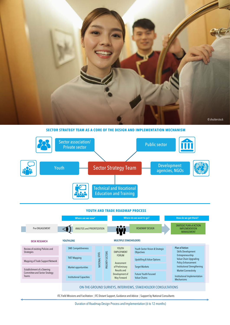

**SECTOR STRATEGY TEAM AS A CORE OF THE DESIGN AND IMPLEMENTATION MECHANISM**



#### **YOUTH AND TRADE ROADMAP PROCESS**

|                                                                       | Where are we now?                  |                |                         | Where do we want to go?                                                                                                    |                                                      | How do we get there?                                                                                                                            |                              |
|-----------------------------------------------------------------------|------------------------------------|----------------|-------------------------|----------------------------------------------------------------------------------------------------------------------------|------------------------------------------------------|-------------------------------------------------------------------------------------------------------------------------------------------------|------------------------------|
| Pre-ENGAGEMENT                                                        | <b>ANALYSIS and PRIORITIZATION</b> |                |                         | ROADMAP DESIGN                                                                                                             |                                                      | <b>SRATEGIC PLAN of ACTION</b><br><b>IMPLEMENTATION</b><br><b>MANAGEMENT</b>                                                                    |                              |
| <b>DESK RESEARCH</b>                                                  | <b>YOUTHLENS</b>                   |                |                         | <b>MULTIPLE STAKEHOLDERS</b>                                                                                               |                                                      |                                                                                                                                                 |                              |
| Review of existing Policies and<br><b>Strategies</b>                  | <b>SME Competitiveness</b>         |                | <b>PRIORITY SECTORS</b> | YOUTH<br><b>EMPLOYMENT</b><br><b>FORUM</b><br>Assessment<br>of Preliminary<br>Results and<br>Development of<br>Way Forward | Youth Sector Vision & Strategic<br><b>Objectives</b> | <b>Plan of Action</b><br>Skills Development<br>Entrepreneurship<br><b>Policy Enhancement</b><br><b>Market Connectivity</b><br><b>Mechanisms</b> |                              |
| Mapping of Trade Support Network                                      | <b>TVET Mapping</b>                | NATIONAL LEVEL |                         |                                                                                                                            | <b>Upskilling &amp; Value Options</b>                |                                                                                                                                                 | Value Chain Upgrading        |
| Establishment of a Steering<br>Committee and Sector Strategy<br>Teams | Market opportunities               |                |                         |                                                                                                                            | <b>Target Markets</b>                                |                                                                                                                                                 | Institutional Strengthening  |
|                                                                       | <b>Institutional Capacities</b>    |                |                         |                                                                                                                            | <b>Future Youth-Focused</b><br><b>Value Chains</b>   |                                                                                                                                                 | Institutional Implementation |
|                                                                       |                                    |                |                         |                                                                                                                            |                                                      |                                                                                                                                                 |                              |

#### ON-THE-GROUND SURVEYS, INTERVIEWS, STAKEHOLDER CONSULTATIONS

ITC Field Missions and Facilitation | ITC Distant Support, Guidance and Advice | Support by National Consultants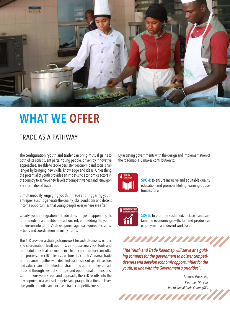

# **WHAT WE OFFER**

# TRADE AS A PATHWAY

The configuration "youth and trade" can bring mutual gains to both of its constituent parts. Young people, driven by innovative approaches, are able to tackle persistent economic and social challenges by bringing new skills, knowledge and ideas. Unleashing the potential of youth provides an impetus to economic sectors in the country to achieve new levels of competitiveness and reinvigorate international trade.

Simultaneously, engaging youth in trade and triggering youth entrepreneurship generate the quality jobs, conditions and decent income opportunites that young people everywhere are after.

Clearly, youth integration in trade does not just happen. It calls for immediate and deliberate action. Yet, embedding the youth dimension into country's development agenda requires decisions, actions and coordination on many fronts.

The YTR provides a strategic framework for such decisions, actions and coordination. Built upon ITC's in-house analytical tools and methodologies that are rooted in a highly participatory consultation process, the YTR delivers a picture of a country's overall trade performance together with detailed diagnostics of specific sectors and value chains. Identified constraints and opportunities are addressed through several strategic and operational dimensions. Comprehensive in scope and approach, the YTR results into the development of a series of targeted and pragmatic actions to leverage youth potential and increase trade competitiveness.

By assisting governments with the design and implementation of the roadmap, ITC makes contribution to:



SDG 4: to ensure inclusive and equitable quality education and promote lifeling learning opportunities for all



SDG 8: to promote sustained, inclusive and sustainable economic growth, full and productive employment and decent work for all

*"The Youth and Trade Roadmap will serve as a guiding compass for the government to bolster competitiveness and develop economic opportunities for the youth, in line with the Government's priorities".*

,,,,,,,,,,,,

7777777777

Arancha González, *Executive Director International Trade Centre (ITC)*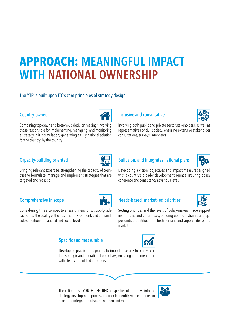# **APPROACH: MEANINGFUL IMPACT WITH NATIONAL OWNERSHIP**

### The YTR is built upon ITC's core principles of strategy design:

### Country-owned

Combining top-down and bottom-up decision making; involving those responsible for implementing, managing, and monitoring a strategy in its formulation; generating a truly national solution for the country, by the country

### Inclusive and consultative



Involving both public and private sector stakeholders, as well as representatives of civil society, ensuring extensive stakeholder consultations, surveys, interviews

Developing a vision, objectives and impact measures aligned with a country's broader development agenda, insuring policy

### Capacity-building oriented



Bringing relevant expertise, strengthening the capacity of countries to formulate, manage and implement strategies that are targeted and realistic

### Comprehensive in scope



Considering three competitiveness dimensions; supply-side capacities, the quality of the business environment, and demandside conditions at national and sector levels

## Specific and measurable



### Needs-based, market-led priorities

coherence and consistency at various levels

Builds on, and integrates national plans



Setting priorities and the levels of policy-makers, trade support institutions, and enterprises, building upon constraints and opportunities identified from both demand and supply sides of the market



Developing practical and pragmatic impact measures to achieve certain strategic and operational objectives; ensuring implementation with clearly articulated indicators

The YTR brings a YOUTH-CENTRED perspective of the above into the strategy development process in order to identify viable options for economic integration of young women and men